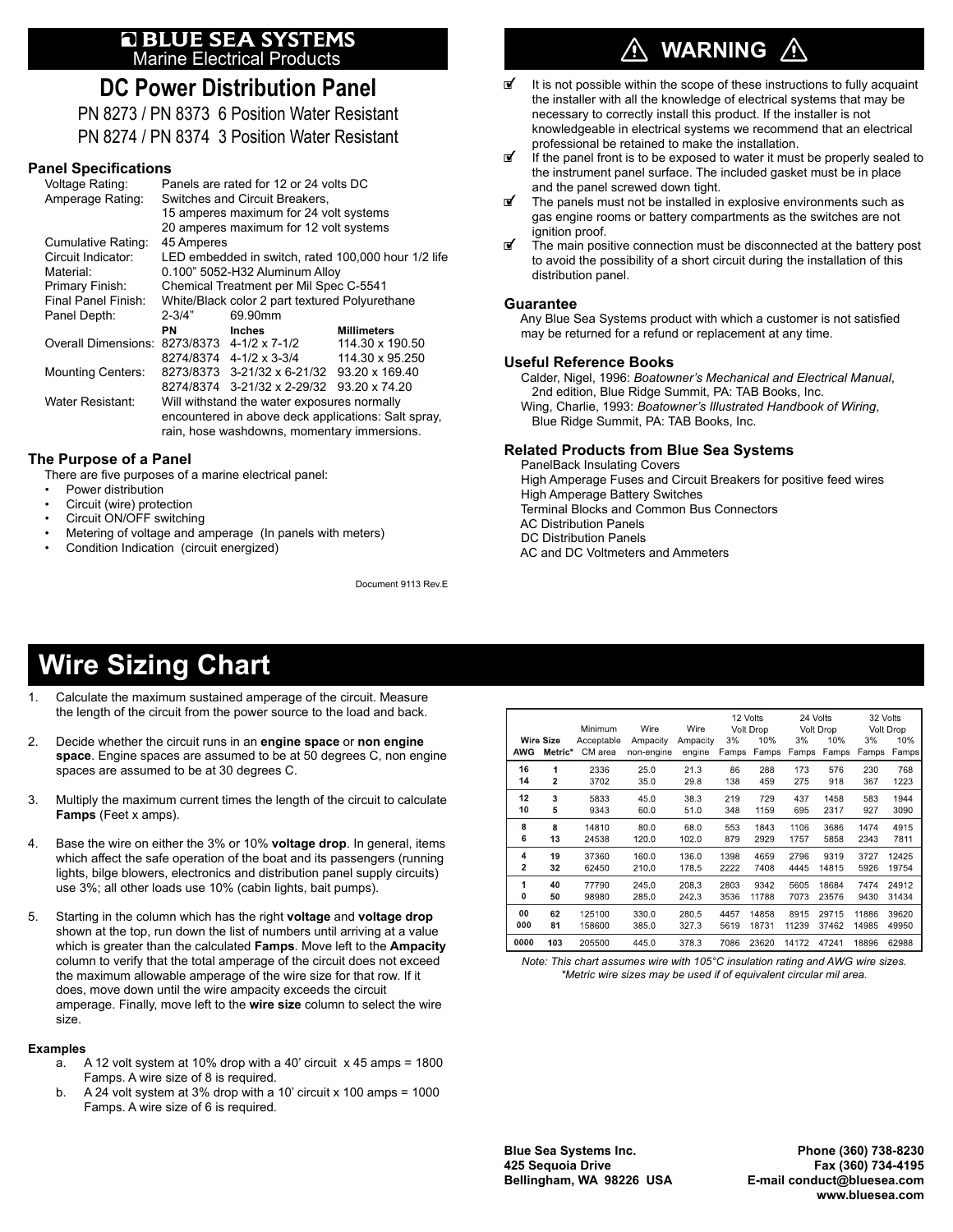# **E BLUE SEA SYSTEMS**<br>Marine Electrical Products

## **DC Power Distribution Panel**

PN 8273 / PN 8373 6 Position Water Resistant PN 8274 / PN 8374 3 Position Water Resistant

## **Panel Specifications**

| Voltage Rating:<br>Amperage Rating: | Panels are rated for 12 or 24 volts DC                                                             |                                                                          |                    |  |  |  |  |
|-------------------------------------|----------------------------------------------------------------------------------------------------|--------------------------------------------------------------------------|--------------------|--|--|--|--|
|                                     |                                                                                                    | Switches and Circuit Breakers.<br>15 amperes maximum for 24 volt systems |                    |  |  |  |  |
|                                     |                                                                                                    | 20 amperes maximum for 12 volt systems                                   |                    |  |  |  |  |
| Cumulative Rating:                  | 45 Amperes                                                                                         |                                                                          |                    |  |  |  |  |
| Circuit Indicator:                  | LED embedded in switch, rated 100,000 hour 1/2 life                                                |                                                                          |                    |  |  |  |  |
| Material:                           | 0.100" 5052-H32 Aluminum Alloy                                                                     |                                                                          |                    |  |  |  |  |
| Primary Finish:                     |                                                                                                    | Chemical Treatment per Mil Spec C-5541                                   |                    |  |  |  |  |
| Final Panel Finish:                 | White/Black color 2 part textured Polyurethane                                                     |                                                                          |                    |  |  |  |  |
| Panel Depth:                        | $2 - 3/4"$                                                                                         | 69.90mm                                                                  |                    |  |  |  |  |
|                                     | ΡN                                                                                                 | <b>Inches</b>                                                            | <b>Millimeters</b> |  |  |  |  |
| Overall Dimensions:                 |                                                                                                    | 8273/8373 4-1/2 x 7-1/2                                                  | 114.30 x 190.50    |  |  |  |  |
|                                     |                                                                                                    | 8274/8374 4-1/2 x 3-3/4                                                  | 114.30 x 95.250    |  |  |  |  |
| <b>Mounting Centers:</b>            |                                                                                                    | 8273/8373 3-21/32 x 6-21/32 93.20 x 169.40                               |                    |  |  |  |  |
|                                     |                                                                                                    | 8274/8374 3-21/32 x 2-29/32                                              | 93.20 x 74.20      |  |  |  |  |
| Water Resistant:                    |                                                                                                    | Will withstand the water exposures normally                              |                    |  |  |  |  |
|                                     | encountered in above deck applications: Salt spray,<br>rain, hose washdowns, momentary immersions. |                                                                          |                    |  |  |  |  |
|                                     |                                                                                                    |                                                                          |                    |  |  |  |  |

## **The Purpose of a Panel**

There are five purposes of a marine electrical panel:

- Power distribution
- Circuit (wire) protection
- Circuit ON/OFF switching
- Metering of voltage and amperage (In panels with meters)
- Condition Indication (circuit energized)

Document 9113 Rev.E

## **WARNING**

- It is not possible within the scope of these instructions to fully acquaint the installer with all the knowledge of electrical systems that may be necessary to correctly install this product. If the installer is not knowledgeable in electrical systems we recommend that an electrical professional be retained to make the installation.
- $\mathbb{F}$  If the panel front is to be exposed to water it must be properly sealed to the instrument panel surface. The included gasket must be in place and the panel screwed down tight.
- The panels must not be installed in explosive environments such as gas engine rooms or battery compartments as the switches are not ignition proof.
- The main positive connection must be disconnected at the battery post to avoid the possibility of a short circuit during the installation of this distribution panel.

### **Guarantee**

Any Blue Sea Systems product with which a customer is not satisfied may be returned for a refund or replacement at any time.

### **Useful Reference Books**

 Calder, Nigel, 1996: *Boatowner's Mechanical and Electrical Manual*, 2nd edition, Blue Ridge Summit, PA: TAB Books, Inc. Wing, Charlie, 1993: *Boatowner's Illustrated Handbook of Wiring*, Blue Ridge Summit, PA: TAB Books, Inc.

## **Related Products from Blue Sea Systems**

 PanelBack Insulating Covers High Amperage Fuses and Circuit Breakers for positive feed wires High Amperage Battery Switches Terminal Blocks and Common Bus Connectors AC Distribution Panels DC Distribution Panels AC and DC Voltmeters and Ammeters

## **Wire Sizing Chart**

- Calculate the maximum sustained amperage of the circuit. Measure the length of the circuit from the power source to the load and back.
- 2. Decide whether the circuit runs in an **engine space** or **non engine space**. Engine spaces are assumed to be at 50 degrees C, non engine spaces are assumed to be at 30 degrees C.
- 3. Multiply the maximum current times the length of the circuit to calculate **Famps** (Feet x amps).
- 4. Base the wire on either the 3% or 10% **voltage drop**. In general, items which affect the safe operation of the boat and its passengers (running lights, bilge blowers, electronics and distribution panel supply circuits) use 3%; all other loads use 10% (cabin lights, bait pumps).
- 5. Starting in the column which has the right **voltage** and **voltage drop** shown at the top, run down the list of numbers until arriving at a value which is greater than the calculated **Famps**. Move left to the **Ampacity** column to verify that the total amperage of the circuit does not exceed the maximum allowable amperage of the wire size for that row. If it does, move down until the wire ampacity exceeds the circuit amperage. Finally, move left to the **wire size** column to select the wire size.

#### **Examples**

- a. A 12 volt system at 10% drop with a 40' circuit x 45 amps = 1800 Famps. A wire size of 8 is required.
- b. A 24 volt system at 3% drop with a 10' circuit x 100 amps = 1000 Famps. A wire size of 6 is required.

| AWG            | <b>Wire Size</b><br>Metric* | Minimum<br>Acceptable<br>CM area | Wire<br>Ampacity<br>non-engine | Wire<br>Ampacity<br>engine | 3%<br>Famps | 12 Volts<br>Volt Drop<br>10%<br>Famps | 24 Volts<br>3%<br>Famps | Volt Drop<br>10%<br>Famps | 3%<br>Famps | 32 Volts<br>Volt Drop<br>10%<br>Famps |
|----------------|-----------------------------|----------------------------------|--------------------------------|----------------------------|-------------|---------------------------------------|-------------------------|---------------------------|-------------|---------------------------------------|
| 16             | 1                           | 2336                             | 25.0                           | 21.3                       | 86          | 288                                   | 173                     | 576                       | 230         | 768                                   |
| 14             | 2                           | 3702                             | 35.0                           | 29.8                       | 138         | 459                                   | 275                     | 918                       | 367         | 1223                                  |
| 12             | 3                           | 5833                             | 45.0                           | 38.3                       | 219         | 729                                   | 437                     | 1458                      | 583         | 1944                                  |
| 10             | 5                           | 9343                             | 60.0                           | 51.0                       | 348         | 1159                                  | 695                     | 2317                      | 927         | 3090                                  |
| 8              | 8                           | 14810                            | 80.0                           | 68.0                       | 553         | 1843                                  | 1106                    | 3686                      | 1474        | 4915                                  |
| 6              | 13                          | 24538                            | 120.0                          | 102.0                      | 879         | 2929                                  | 1757                    | 5858                      | 2343        | 7811                                  |
| 4              | 19                          | 37360                            | 160.0                          | 136.0                      | 1398        | 4659                                  | 2796                    | 9319                      | 3727        | 12425                                 |
| $\overline{2}$ | 32                          | 62450                            | 210.0                          | 178.5                      | 2222        | 7408                                  | 4445                    | 14815                     | 5926        | 19754                                 |
| 1              | 40                          | 77790                            | 245.0                          | 208.3                      | 2803        | 9342                                  | 5605                    | 18684                     | 7474        | 24912                                 |
| 0              | 50                          | 98980                            | 285.0                          | 242.3                      | 3536        | 11788                                 | 7073                    | 23576                     | 9430        | 31434                                 |
| 00             | 62                          | 125100                           | 330.0                          | 280.5                      | 4457        | 14858                                 | 8915                    | 29715                     | 11886       | 39620                                 |
| 000            | 81                          | 158600                           | 385.0                          | 327.3                      | 5619        | 18731                                 | 11239                   | 37462                     | 14985       | 49950                                 |
| 0000           | 103                         | 205500                           | 445.0                          | 378.3                      | 7086        | 23620                                 | 14172                   | 47241                     | 18896       |                                       |

*Note: This chart assumes wire with 105°C insulation rating and AWG wire sizes. \*Metric wire sizes may be used if of equivalent circular mil area.*